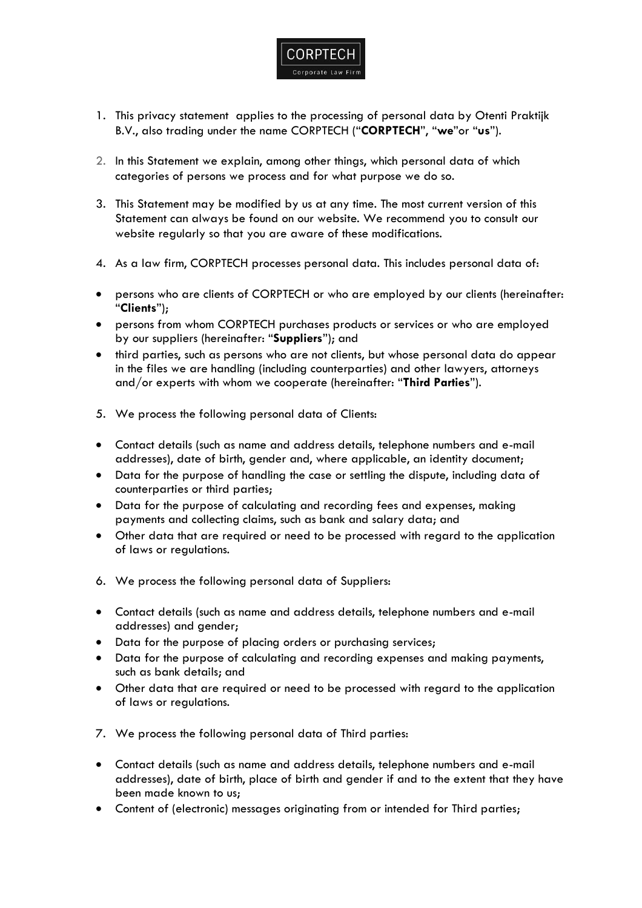

- 1. This privacy statement applies to the processing of personal data by Otenti Praktijk B.V., also trading under the name CORPTECH ("**CORPTECH**", "**we**"or "**us**").
- 2. In this Statement we explain, among other things, which personal data of which categories of persons we process and for what purpose we do so.
- 3. This Statement may be modified by us at any time. The most current version of this Statement can always be found on our website. We recommend you to consult our website regularly so that you are aware of these modifications.
- 4. As a law firm, CORPTECH processes personal data. This includes personal data of:
- persons who are clients of CORPTECH or who are employed by our clients (hereinafter: "**Clients**");
- persons from whom CORPTECH purchases products or services or who are employed by our suppliers (hereinafter: "**Suppliers**"); and
- third parties, such as persons who are not clients, but whose personal data do appear in the files we are handling (including counterparties) and other lawyers, attorneys and/or experts with whom we cooperate (hereinafter: "**Third Parties**").
- 5. We process the following personal data of Clients:
- Contact details (such as name and address details, telephone numbers and e-mail addresses), date of birth, gender and, where applicable, an identity document;
- Data for the purpose of handling the case or settling the dispute, including data of counterparties or third parties;
- Data for the purpose of calculating and recording fees and expenses, making payments and collecting claims, such as bank and salary data; and
- Other data that are required or need to be processed with regard to the application of laws or regulations.
- 6. We process the following personal data of Suppliers:
- Contact details (such as name and address details, telephone numbers and e-mail addresses) and gender;
- Data for the purpose of placing orders or purchasing services;
- Data for the purpose of calculating and recording expenses and making payments, such as bank details; and
- Other data that are required or need to be processed with regard to the application of laws or regulations.
- 7. We process the following personal data of Third parties:
- Contact details (such as name and address details, telephone numbers and e-mail addresses), date of birth, place of birth and gender if and to the extent that they have been made known to us;
- Content of (electronic) messages originating from or intended for Third parties;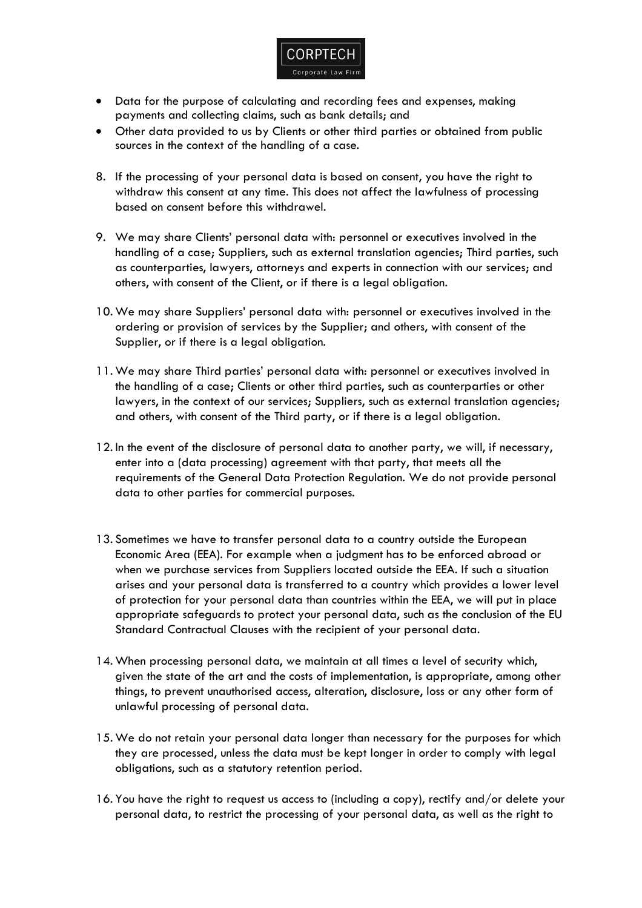

- Data for the purpose of calculating and recording fees and expenses, making payments and collecting claims, such as bank details; and
- Other data provided to us by Clients or other third parties or obtained from public sources in the context of the handling of a case.
- 8. If the processing of your personal data is based on consent, you have the right to withdraw this consent at any time. This does not affect the lawfulness of processing based on consent before this withdrawel.
- 9. We may share Clients' personal data with: personnel or executives involved in the handling of a case; Suppliers, such as external translation agencies; Third parties, such as counterparties, lawyers, attorneys and experts in connection with our services; and others, with consent of the Client, or if there is a legal obligation.
- 10. We may share Suppliers' personal data with: personnel or executives involved in the ordering or provision of services by the Supplier; and others, with consent of the Supplier, or if there is a legal obligation.
- 11. We may share Third parties' personal data with: personnel or executives involved in the handling of a case; Clients or other third parties, such as counterparties or other lawyers, in the context of our services; Suppliers, such as external translation agencies; and others, with consent of the Third party, or if there is a legal obligation.
- 12. In the event of the disclosure of personal data to another party, we will, if necessary, enter into a (data processing) agreement with that party, that meets all the requirements of the General Data Protection Regulation. We do not provide personal data to other parties for commercial purposes.
- 13. Sometimes we have to transfer personal data to a country outside the European Economic Area (EEA). For example when a judgment has to be enforced abroad or when we purchase services from Suppliers located outside the EEA. If such a situation arises and your personal data is transferred to a country which provides a lower level of protection for your personal data than countries within the EEA, we will put in place appropriate safeguards to protect your personal data, such as the conclusion of the EU Standard Contractual Clauses with the recipient of your personal data.
- 14. When processing personal data, we maintain at all times a level of security which, given the state of the art and the costs of implementation, is appropriate, among other things, to prevent unauthorised access, alteration, disclosure, loss or any other form of unlawful processing of personal data.
- 15. We do not retain your personal data longer than necessary for the purposes for which they are processed, unless the data must be kept longer in order to comply with legal obligations, such as a statutory retention period.
- 16. You have the right to request us access to (including a copy), rectify and/or delete your personal data, to restrict the processing of your personal data, as well as the right to